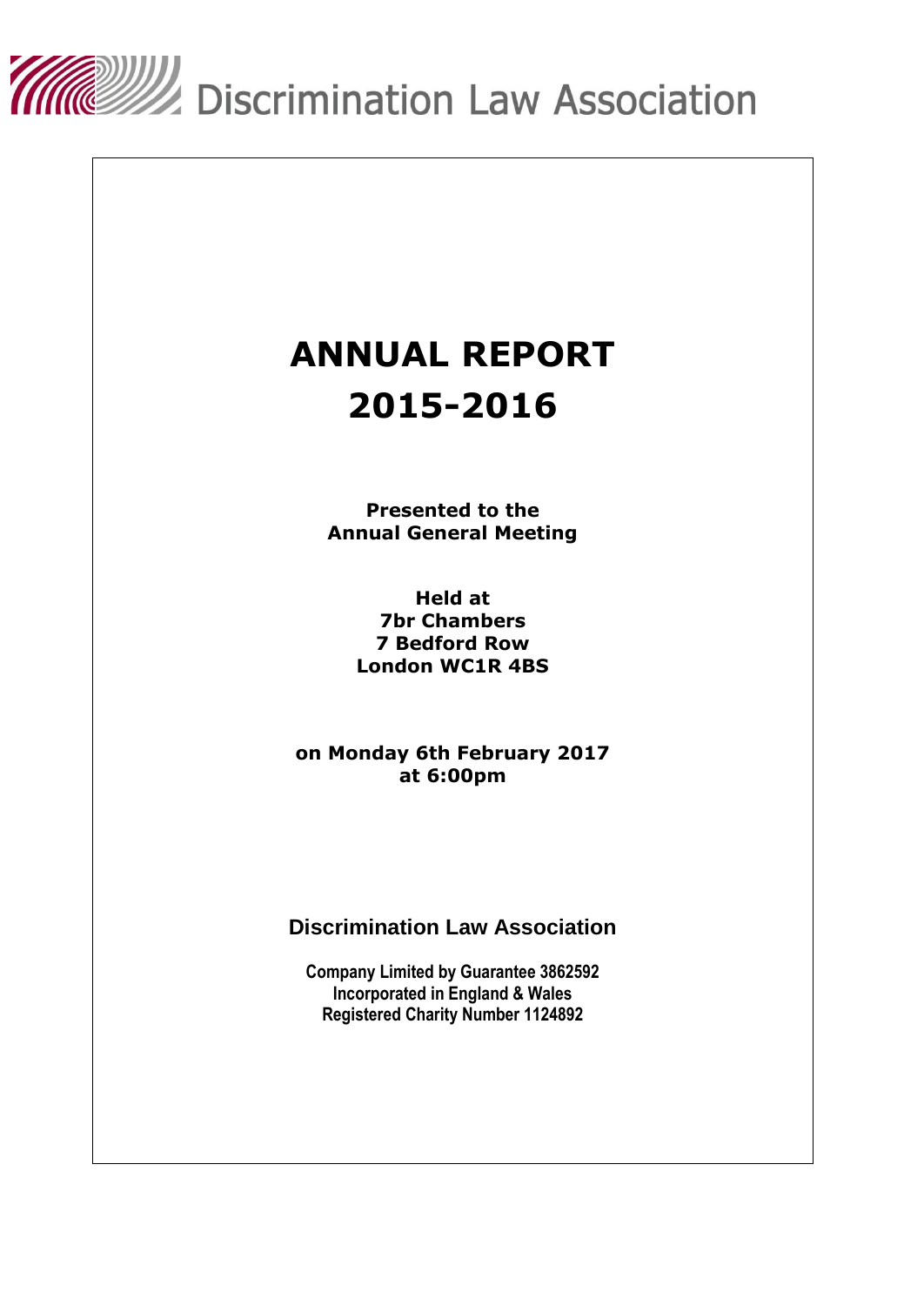

# **ANNUAL REPORT 2015-2016**

**Presented to the Annual General Meeting**

> **Held at 7br Chambers 7 Bedford Row London WC1R 4BS**

**on Monday 6th February 2017 at 6:00pm**

#### **Discrimination Law Association**

**Company Limited by Guarantee 3862592 Incorporated in England & Wales Registered Charity Number 1124892**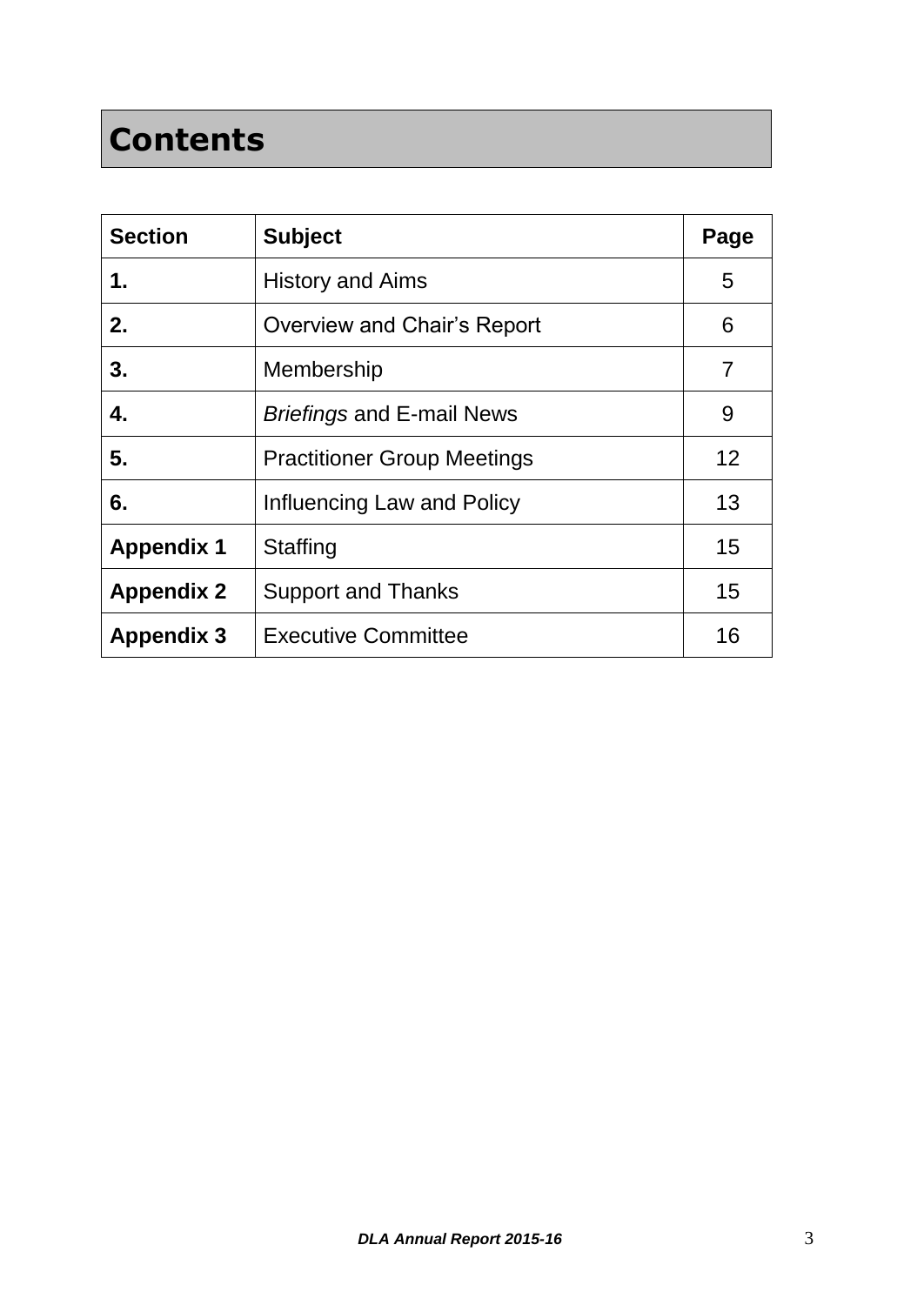# **Contents**

| <b>Section</b>    | <b>Subject</b>                     | Page |
|-------------------|------------------------------------|------|
| 1.                | <b>History and Aims</b>            | 5    |
| 2.                | Overview and Chair's Report        | 6    |
| 3.                | Membership                         | 7    |
| 4.                | <b>Briefings and E-mail News</b>   | 9    |
| 5.                | <b>Practitioner Group Meetings</b> | 12   |
| 6.                | Influencing Law and Policy         | 13   |
| <b>Appendix 1</b> | <b>Staffing</b>                    | 15   |
| <b>Appendix 2</b> | <b>Support and Thanks</b>          | 15   |
| <b>Appendix 3</b> | <b>Executive Committee</b>         | 16   |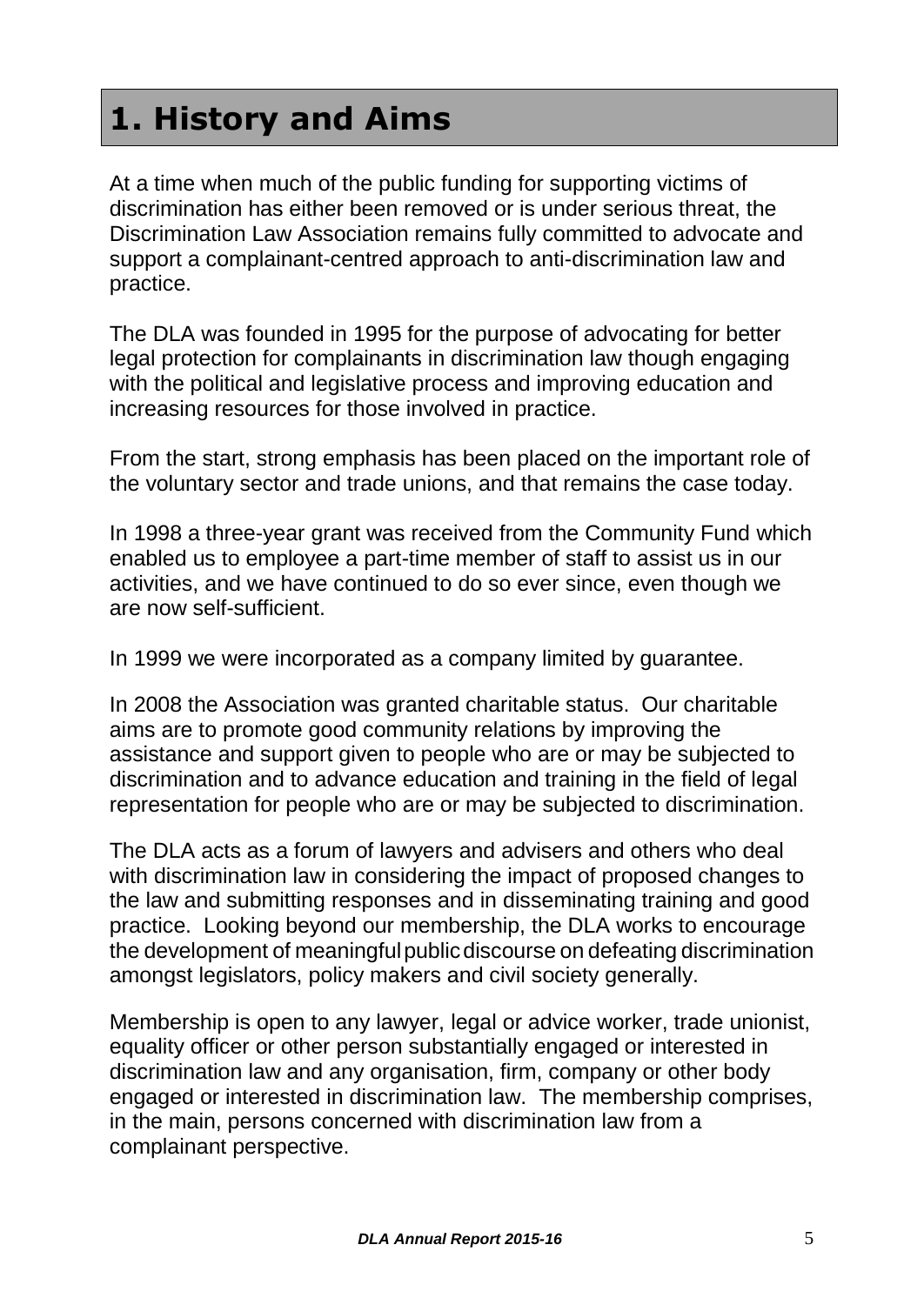## **1. History and Aims**

At a time when much of the public funding for supporting victims of discrimination has either been removed or is under serious threat, the Discrimination Law Association remains fully committed to advocate and support a complainant-centred approach to anti-discrimination law and practice.

The DLA was founded in 1995 for the purpose of advocating for better legal protection for complainants in discrimination law though engaging with the political and legislative process and improving education and increasing resources for those involved in practice.

From the start, strong emphasis has been placed on the important role of the voluntary sector and trade unions, and that remains the case today.

In 1998 a three-year grant was received from the Community Fund which enabled us to employee a part-time member of staff to assist us in our activities, and we have continued to do so ever since, even though we are now self-sufficient.

In 1999 we were incorporated as a company limited by guarantee.

In 2008 the Association was granted charitable status. Our charitable aims are to promote good community relations by improving the assistance and support given to people who are or may be subjected to discrimination and to advance education and training in the field of legal representation for people who are or may be subjected to discrimination.

The DLA acts as a forum of lawyers and advisers and others who deal with discrimination law in considering the impact of proposed changes to the law and submitting responses and in disseminating training and good practice. Looking beyond our membership, the DLA works to encourage the development of meaningfulpublicdiscourse on defeating discrimination amongst legislators, policy makers and civil society generally.

Membership is open to any lawyer, legal or advice worker, trade unionist, equality officer or other person substantially engaged or interested in discrimination law and any organisation, firm, company or other body engaged or interested in discrimination law. The membership comprises, in the main, persons concerned with discrimination law from a complainant perspective.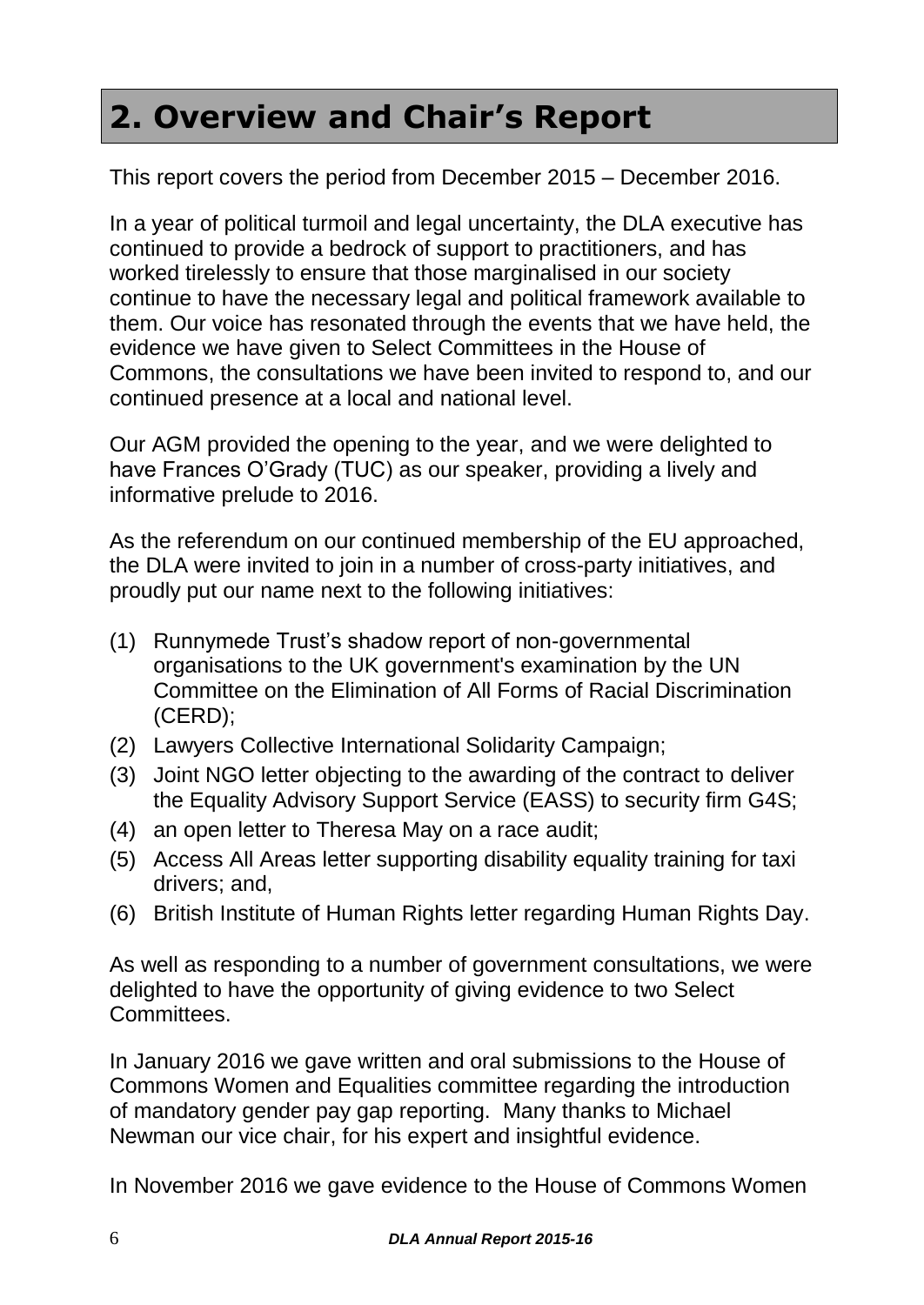### **2. Overview and Chair's Report**

This report covers the period from December 2015 – December 2016.

In a year of political turmoil and legal uncertainty, the DLA executive has continued to provide a bedrock of support to practitioners, and has worked tirelessly to ensure that those marginalised in our society continue to have the necessary legal and political framework available to them. Our voice has resonated through the events that we have held, the evidence we have given to Select Committees in the House of Commons, the consultations we have been invited to respond to, and our continued presence at a local and national level.

Our AGM provided the opening to the year, and we were delighted to have Frances O'Grady (TUC) as our speaker, providing a lively and informative prelude to 2016.

As the referendum on our continued membership of the EU approached, the DLA were invited to join in a number of cross-party initiatives, and proudly put our name next to the following initiatives:

- (1) Runnymede Trust's shadow report of non-governmental organisations to the UK government's examination by the UN Committee on the Elimination of All Forms of Racial Discrimination (CERD);
- (2) Lawyers Collective International Solidarity Campaign;
- (3) Joint NGO letter objecting to the awarding of the contract to deliver the Equality Advisory Support Service (EASS) to security firm G4S;
- (4) an open letter to Theresa May on a race audit;
- (5) Access All Areas letter supporting disability equality training for taxi drivers; and,
- (6) British Institute of Human Rights letter regarding Human Rights Day.

As well as responding to a number of government consultations, we were delighted to have the opportunity of giving evidence to two Select Committees.

In January 2016 we gave written and oral submissions to the House of Commons Women and Equalities committee regarding the introduction of mandatory gender pay gap reporting. Many thanks to Michael Newman our vice chair, for his expert and insightful evidence.

In November 2016 we gave evidence to the House of Commons Women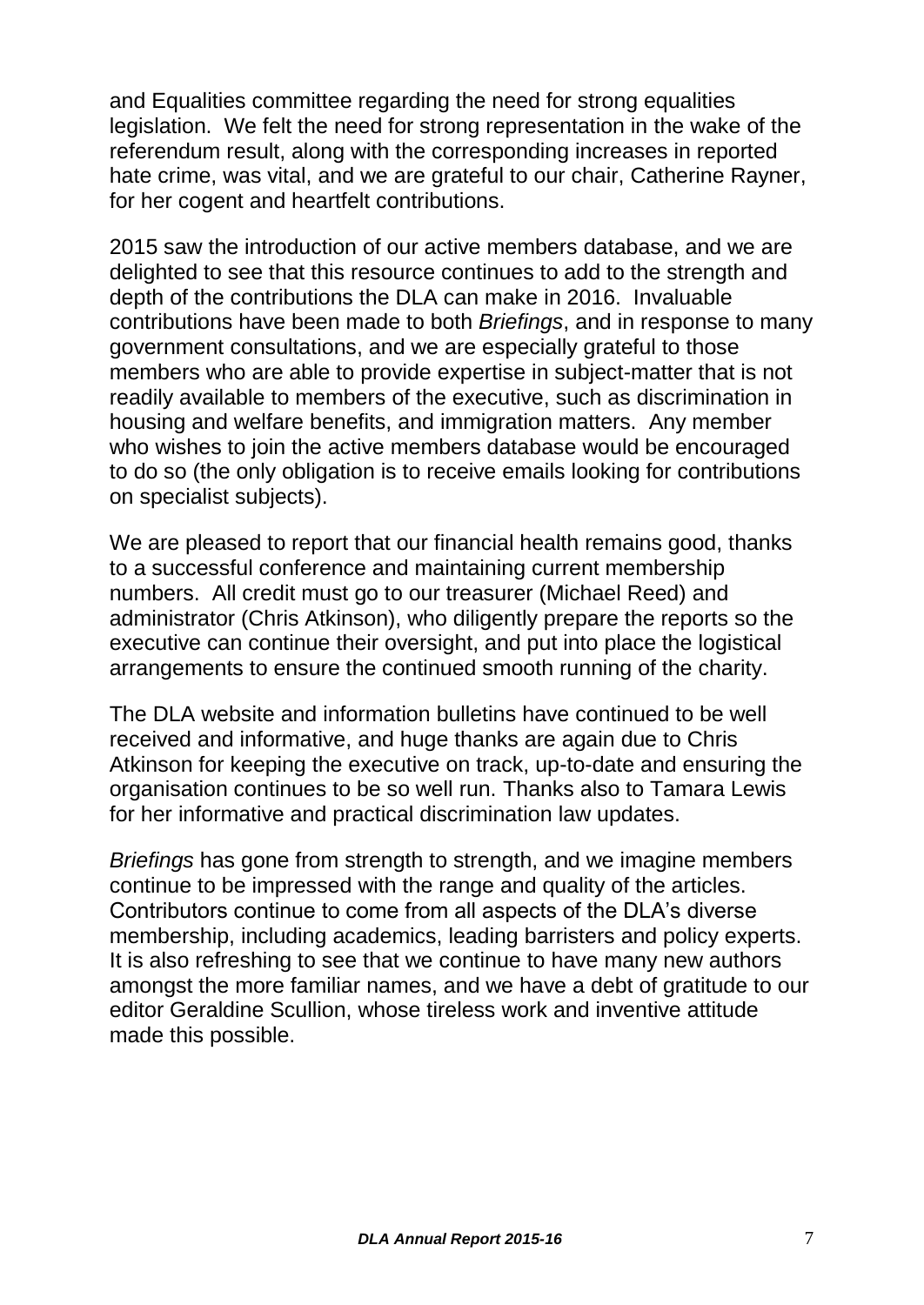and Equalities committee regarding the need for strong equalities legislation. We felt the need for strong representation in the wake of the referendum result, along with the corresponding increases in reported hate crime, was vital, and we are grateful to our chair, Catherine Rayner, for her cogent and heartfelt contributions.

2015 saw the introduction of our active members database, and we are delighted to see that this resource continues to add to the strength and depth of the contributions the DLA can make in 2016. Invaluable contributions have been made to both *Briefings*, and in response to many government consultations, and we are especially grateful to those members who are able to provide expertise in subject-matter that is not readily available to members of the executive, such as discrimination in housing and welfare benefits, and immigration matters. Any member who wishes to join the active members database would be encouraged to do so (the only obligation is to receive emails looking for contributions on specialist subjects).

We are pleased to report that our financial health remains good, thanks to a successful conference and maintaining current membership numbers. All credit must go to our treasurer (Michael Reed) and administrator (Chris Atkinson), who diligently prepare the reports so the executive can continue their oversight, and put into place the logistical arrangements to ensure the continued smooth running of the charity.

The DLA website and information bulletins have continued to be well received and informative, and huge thanks are again due to Chris Atkinson for keeping the executive on track, up-to-date and ensuring the organisation continues to be so well run. Thanks also to Tamara Lewis for her informative and practical discrimination law updates.

*Briefings* has gone from strength to strength, and we imagine members continue to be impressed with the range and quality of the articles. Contributors continue to come from all aspects of the DLA's diverse membership, including academics, leading barristers and policy experts. It is also refreshing to see that we continue to have many new authors amongst the more familiar names, and we have a debt of gratitude to our editor Geraldine Scullion, whose tireless work and inventive attitude made this possible.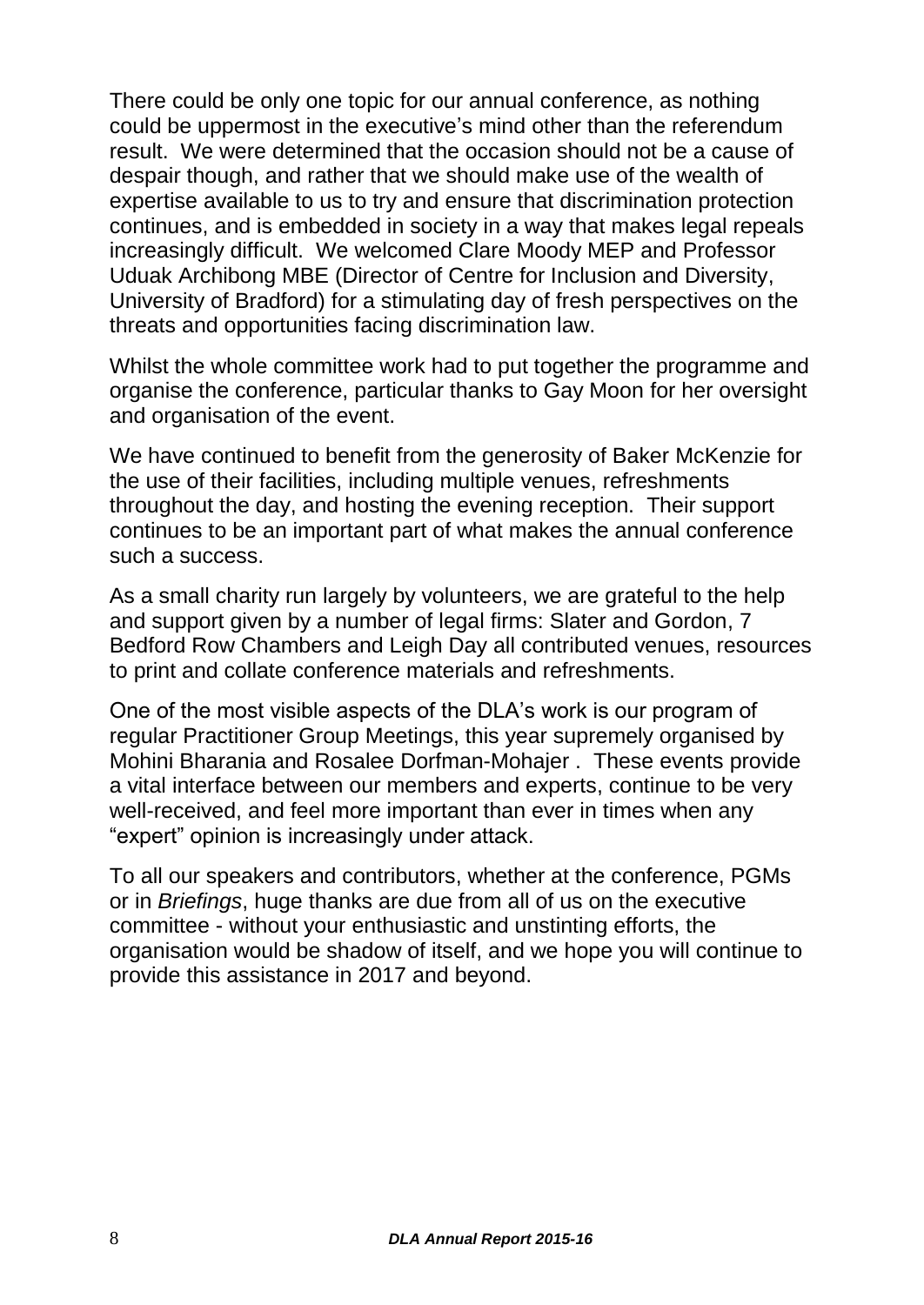There could be only one topic for our annual conference, as nothing could be uppermost in the executive's mind other than the referendum result. We were determined that the occasion should not be a cause of despair though, and rather that we should make use of the wealth of expertise available to us to try and ensure that discrimination protection continues, and is embedded in society in a way that makes legal repeals increasingly difficult. We welcomed Clare Moody MEP and Professor Uduak Archibong MBE (Director of Centre for Inclusion and Diversity, University of Bradford) for a stimulating day of fresh perspectives on the threats and opportunities facing discrimination law.

Whilst the whole committee work had to put together the programme and organise the conference, particular thanks to Gay Moon for her oversight and organisation of the event.

We have continued to benefit from the generosity of Baker McKenzie for the use of their facilities, including multiple venues, refreshments throughout the day, and hosting the evening reception. Their support continues to be an important part of what makes the annual conference such a success.

As a small charity run largely by volunteers, we are grateful to the help and support given by a number of legal firms: Slater and Gordon, 7 Bedford Row Chambers and Leigh Day all contributed venues, resources to print and collate conference materials and refreshments.

One of the most visible aspects of the DLA's work is our program of regular Practitioner Group Meetings, this year supremely organised by Mohini Bharania and Rosalee Dorfman-Mohajer . These events provide a vital interface between our members and experts, continue to be very well-received, and feel more important than ever in times when any "expert" opinion is increasingly under attack.

To all our speakers and contributors, whether at the conference, PGMs or in *Briefings*, huge thanks are due from all of us on the executive committee - without your enthusiastic and unstinting efforts, the organisation would be shadow of itself, and we hope you will continue to provide this assistance in 2017 and beyond.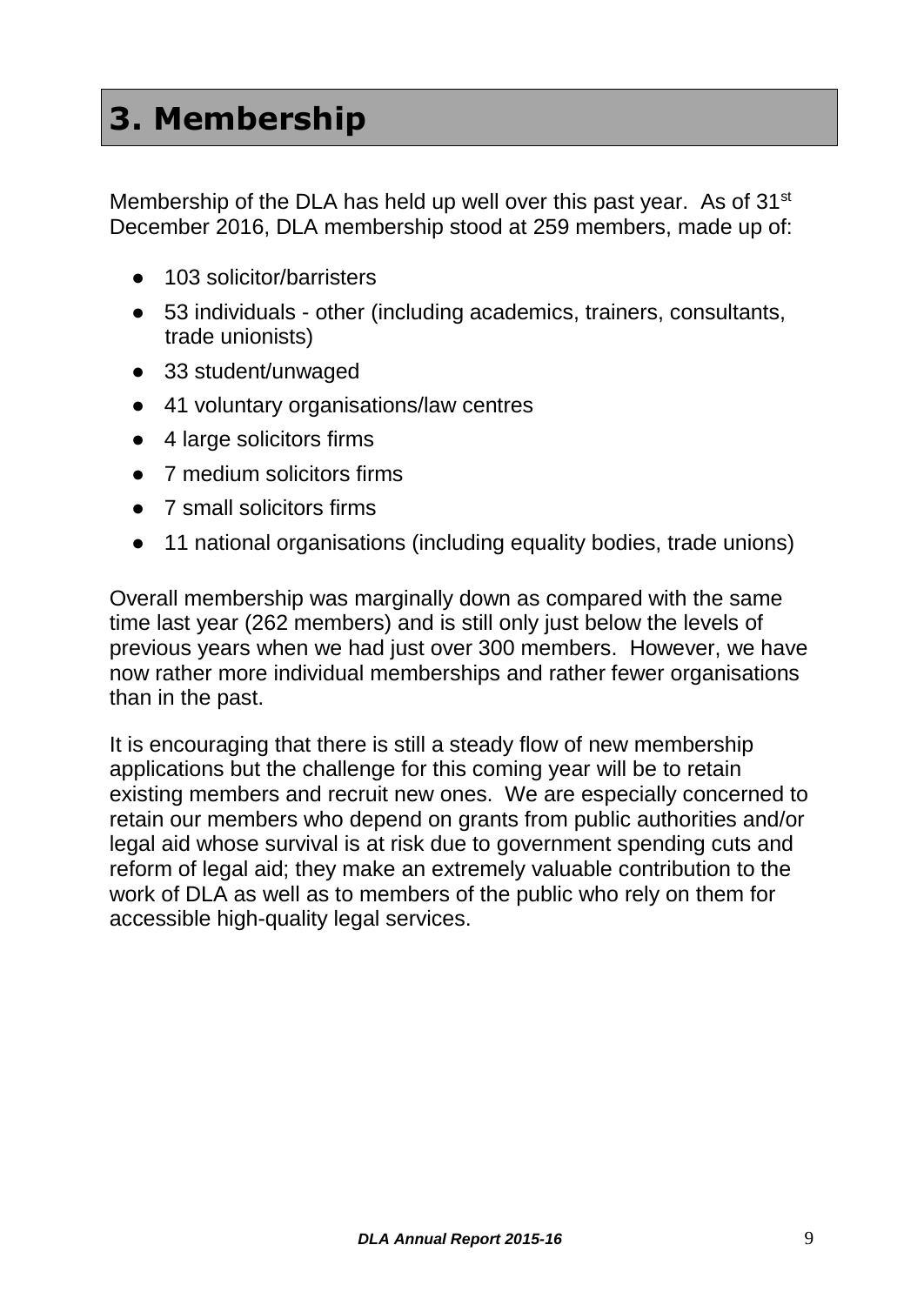## **3. Membership**

Membership of the DLA has held up well over this past year. As of 31<sup>st</sup> December 2016, DLA membership stood at 259 members, made up of:

- 103 solicitor/barristers
- 53 individuals other (including academics, trainers, consultants, trade unionists)
- 33 student/unwaged
- 41 voluntary organisations/law centres
- 4 large solicitors firms
- 7 medium solicitors firms
- 7 small solicitors firms
- 11 national organisations (including equality bodies, trade unions)

Overall membership was marginally down as compared with the same time last year (262 members) and is still only just below the levels of previous years when we had just over 300 members. However, we have now rather more individual memberships and rather fewer organisations than in the past.

It is encouraging that there is still a steady flow of new membership applications but the challenge for this coming year will be to retain existing members and recruit new ones. We are especially concerned to retain our members who depend on grants from public authorities and/or legal aid whose survival is at risk due to government spending cuts and reform of legal aid; they make an extremely valuable contribution to the work of DLA as well as to members of the public who rely on them for accessible high-quality legal services.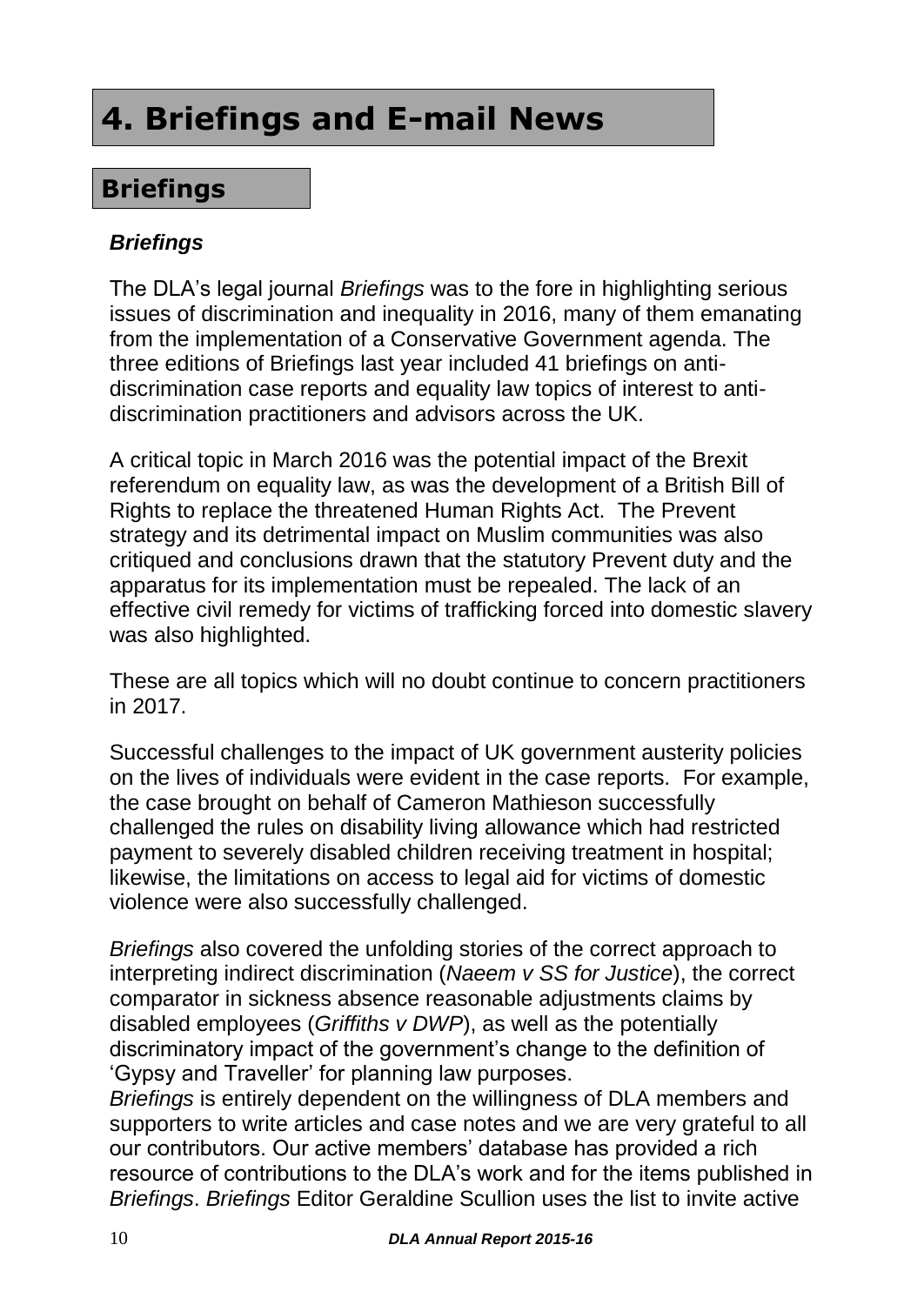# **4. Briefings and E-mail News**

### **Briefings**

#### *Briefings*

The DLA's legal journal *Briefings* was to the fore in highlighting serious issues of discrimination and inequality in 2016, many of them emanating from the implementation of a Conservative Government agenda. The three editions of Briefings last year included 41 briefings on antidiscrimination case reports and equality law topics of interest to antidiscrimination practitioners and advisors across the UK.

A critical topic in March 2016 was the potential impact of the Brexit referendum on equality law, as was the development of a British Bill of Rights to replace the threatened Human Rights Act. The Prevent strategy and its detrimental impact on Muslim communities was also critiqued and conclusions drawn that the statutory Prevent duty and the apparatus for its implementation must be repealed. The lack of an effective civil remedy for victims of trafficking forced into domestic slavery was also highlighted.

These are all topics which will no doubt continue to concern practitioners in 2017.

Successful challenges to the impact of UK government austerity policies on the lives of individuals were evident in the case reports. For example, the case brought on behalf of Cameron Mathieson successfully challenged the rules on disability living allowance which had restricted payment to severely disabled children receiving treatment in hospital; likewise, the limitations on access to legal aid for victims of domestic violence were also successfully challenged.

*Briefings* also covered the unfolding stories of the correct approach to interpreting indirect discrimination (*Naeem v SS for Justice*), the correct comparator in sickness absence reasonable adjustments claims by disabled employees (*Griffiths v DWP*), as well as the potentially discriminatory impact of the government's change to the definition of 'Gypsy and Traveller' for planning law purposes.

*Briefings* is entirely dependent on the willingness of DLA members and supporters to write articles and case notes and we are very grateful to all our contributors. Our active members' database has provided a rich resource of contributions to the DLA's work and for the items published in *Briefings*. *Briefings* Editor Geraldine Scullion uses the list to invite active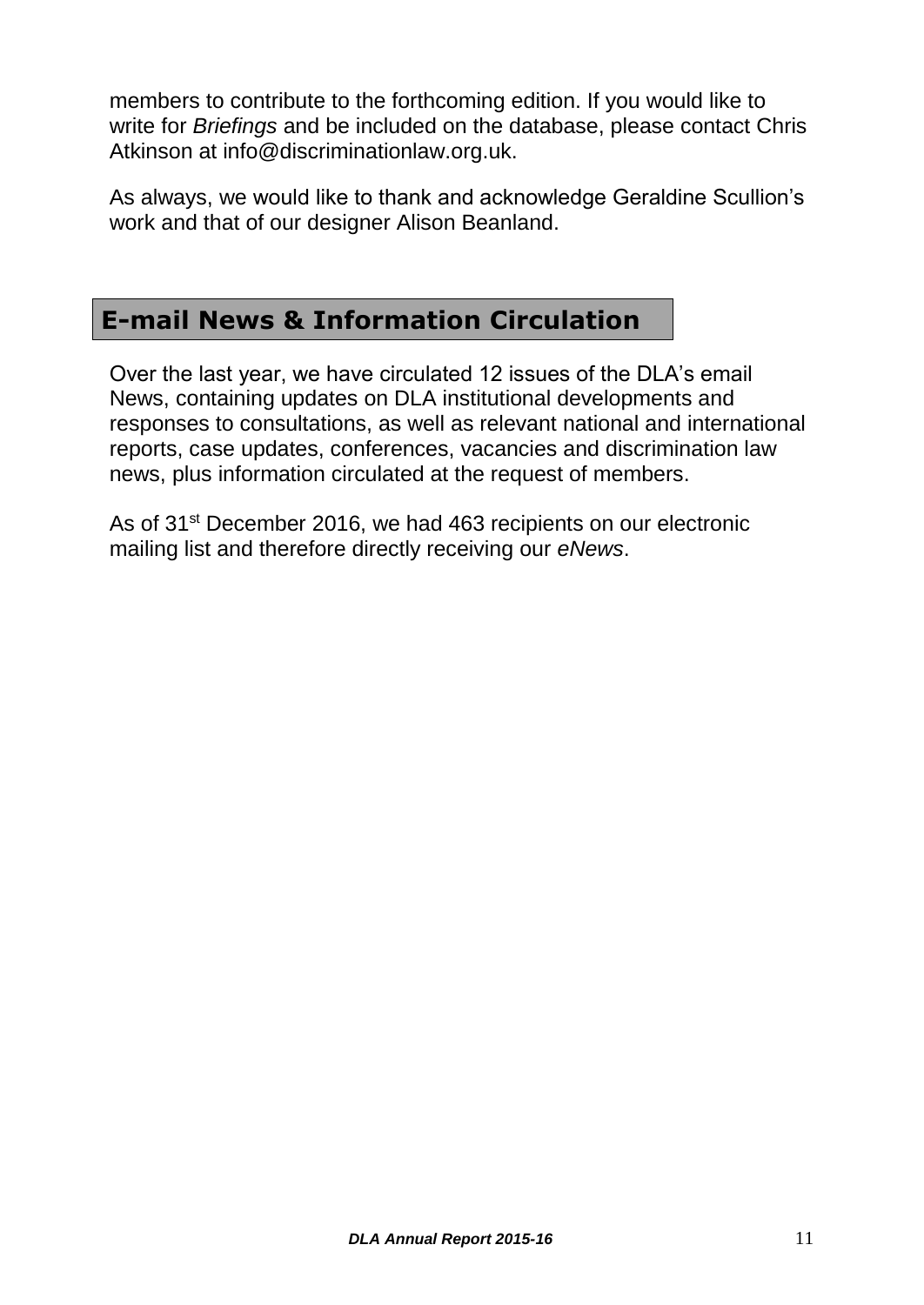members to contribute to the forthcoming edition. If you would like to write for *Briefings* and be included on the database, please contact Chris Atkinson at info@discriminationlaw.org.uk.

As always, we would like to thank and acknowledge Geraldine Scullion's work and that of our designer Alison Beanland.

#### **E-mail News & Information Circulation**

Over the last year, we have circulated 12 issues of the DLA's email News, containing updates on DLA institutional developments and responses to consultations, as well as relevant national and international reports, case updates, conferences, vacancies and discrimination law news, plus information circulated at the request of members.

As of 31<sup>st</sup> December 2016, we had 463 recipients on our electronic mailing list and therefore directly receiving our *eNews*.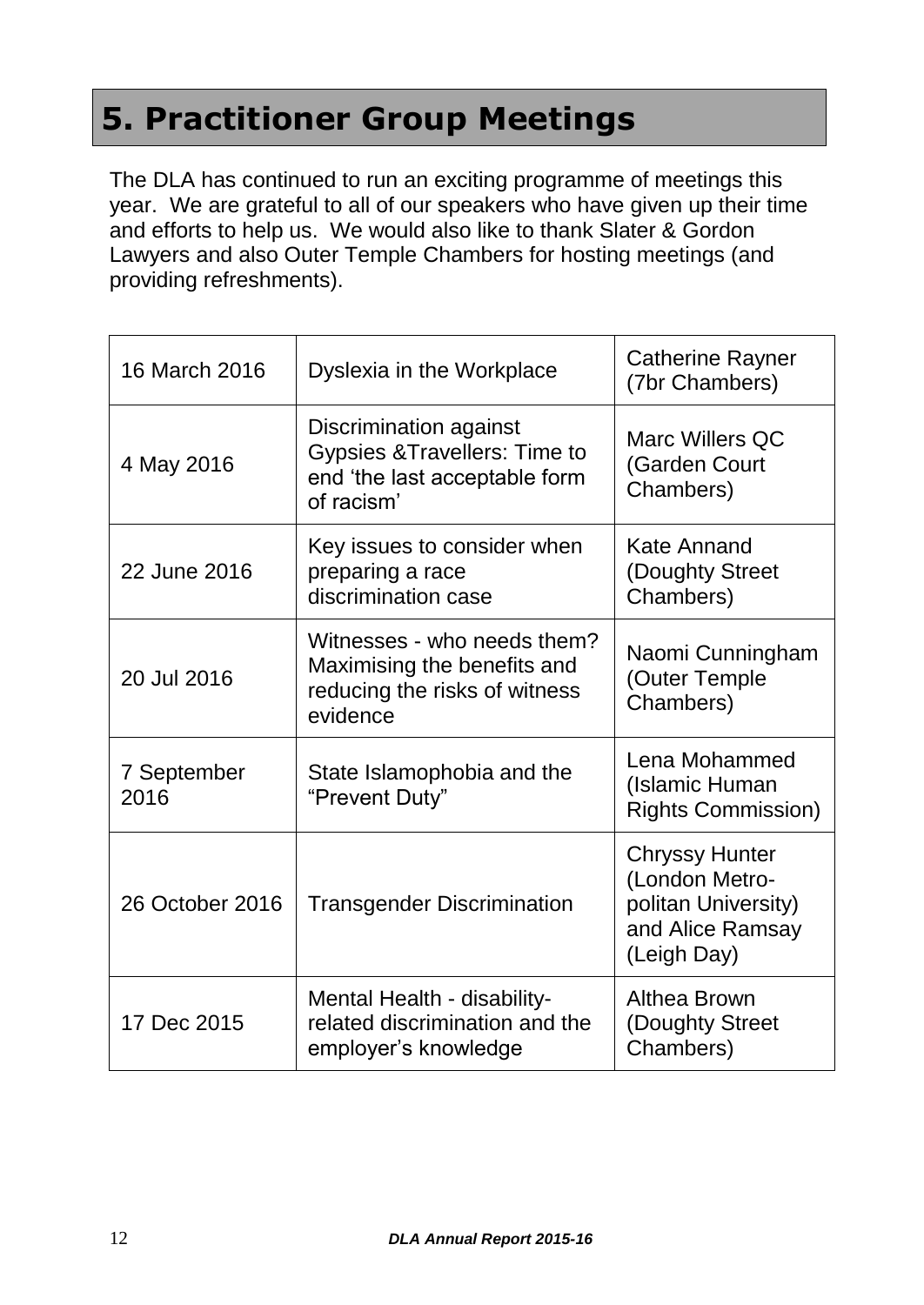### **5. Practitioner Group Meetings**

The DLA has continued to run an exciting programme of meetings this year. We are grateful to all of our speakers who have given up their time and efforts to help us. We would also like to thank Slater & Gordon Lawyers and also Outer Temple Chambers for hosting meetings (and providing refreshments).

| 16 March 2016       | Dyslexia in the Workplace                                                                                         | <b>Catherine Rayner</b><br>(7br Chambers)                                                         |
|---------------------|-------------------------------------------------------------------------------------------------------------------|---------------------------------------------------------------------------------------------------|
| 4 May 2016          | Discrimination against<br><b>Gypsies &amp; Travellers: Time to</b><br>end 'the last acceptable form<br>of racism' | <b>Marc Willers QC</b><br>(Garden Court<br>Chambers)                                              |
| 22 June 2016        | Key issues to consider when<br>preparing a race<br>discrimination case                                            | Kate Annand<br>(Doughty Street<br>Chambers)                                                       |
| 20 Jul 2016         | Witnesses - who needs them?<br>Maximising the benefits and<br>reducing the risks of witness<br>evidence           | Naomi Cunningham<br>(Outer Temple<br>Chambers)                                                    |
| 7 September<br>2016 | State Islamophobia and the<br>"Prevent Duty"                                                                      | Lena Mohammed<br>(Islamic Human<br><b>Rights Commission)</b>                                      |
| 26 October 2016     | <b>Transgender Discrimination</b>                                                                                 | <b>Chryssy Hunter</b><br>(London Metro-<br>politan University)<br>and Alice Ramsay<br>(Leigh Day) |
| 17 Dec 2015         | Mental Health - disability-<br>related discrimination and the<br>employer's knowledge                             | <b>Althea Brown</b><br>(Doughty Street<br>Chambers)                                               |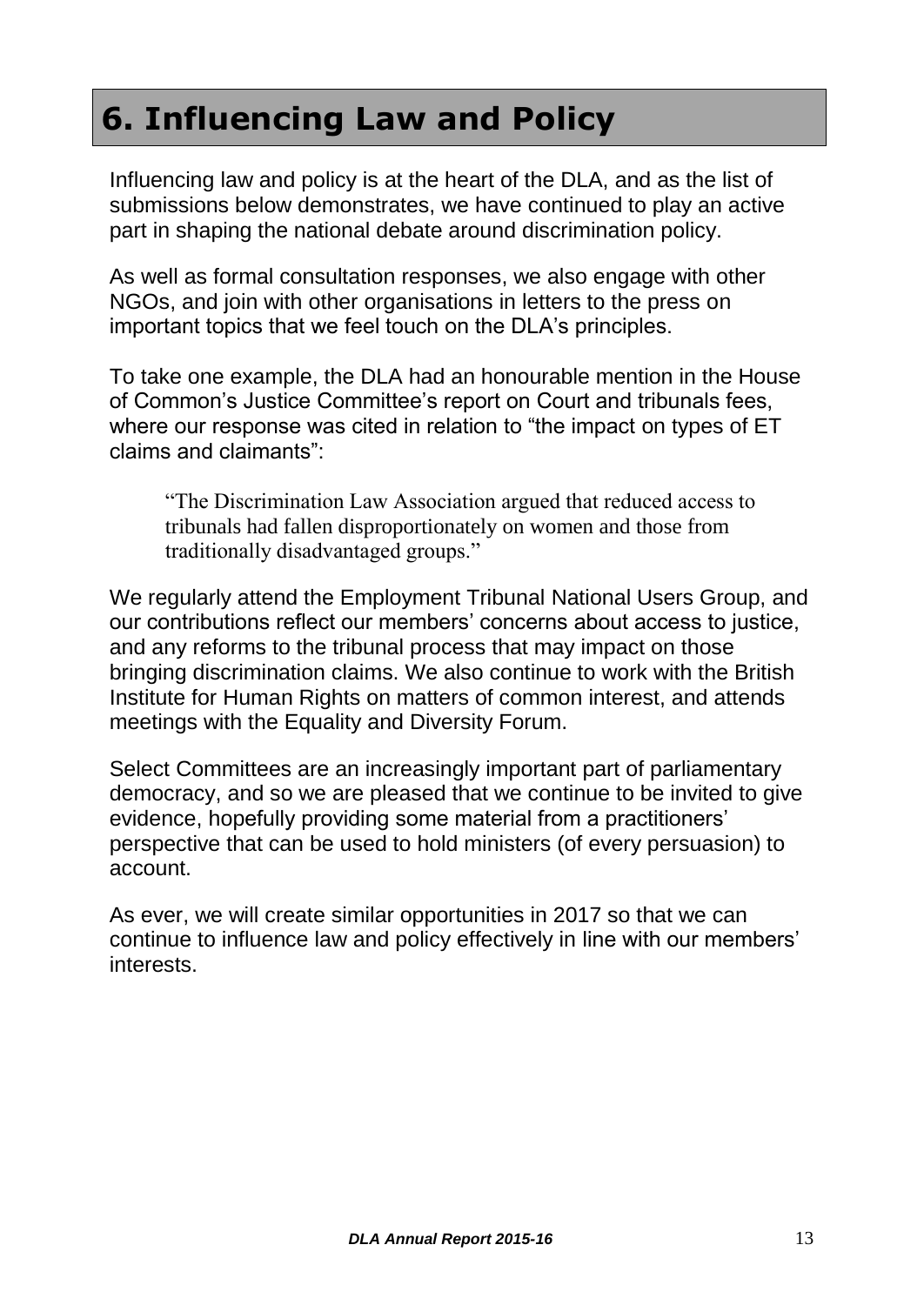### **6. Influencing Law and Policy**

Influencing law and policy is at the heart of the DLA, and as the list of submissions below demonstrates, we have continued to play an active part in shaping the national debate around discrimination policy.

As well as formal consultation responses, we also engage with other NGOs, and join with other organisations in letters to the press on important topics that we feel touch on the DLA's principles.

To take one example, the DLA had an honourable mention in the House of Common's Justice Committee's report on Court and tribunals fees, where our response was cited in relation to "the impact on types of ET claims and claimants":

"The Discrimination Law Association argued that reduced access to tribunals had fallen disproportionately on women and those from traditionally disadvantaged groups."

We regularly attend the Employment Tribunal National Users Group, and our contributions reflect our members' concerns about access to justice, and any reforms to the tribunal process that may impact on those bringing discrimination claims. We also continue to work with the British Institute for Human Rights on matters of common interest, and attends meetings with the Equality and Diversity Forum.

Select Committees are an increasingly important part of parliamentary democracy, and so we are pleased that we continue to be invited to give evidence, hopefully providing some material from a practitioners' perspective that can be used to hold ministers (of every persuasion) to account.

As ever, we will create similar opportunities in 2017 so that we can continue to influence law and policy effectively in line with our members' interests.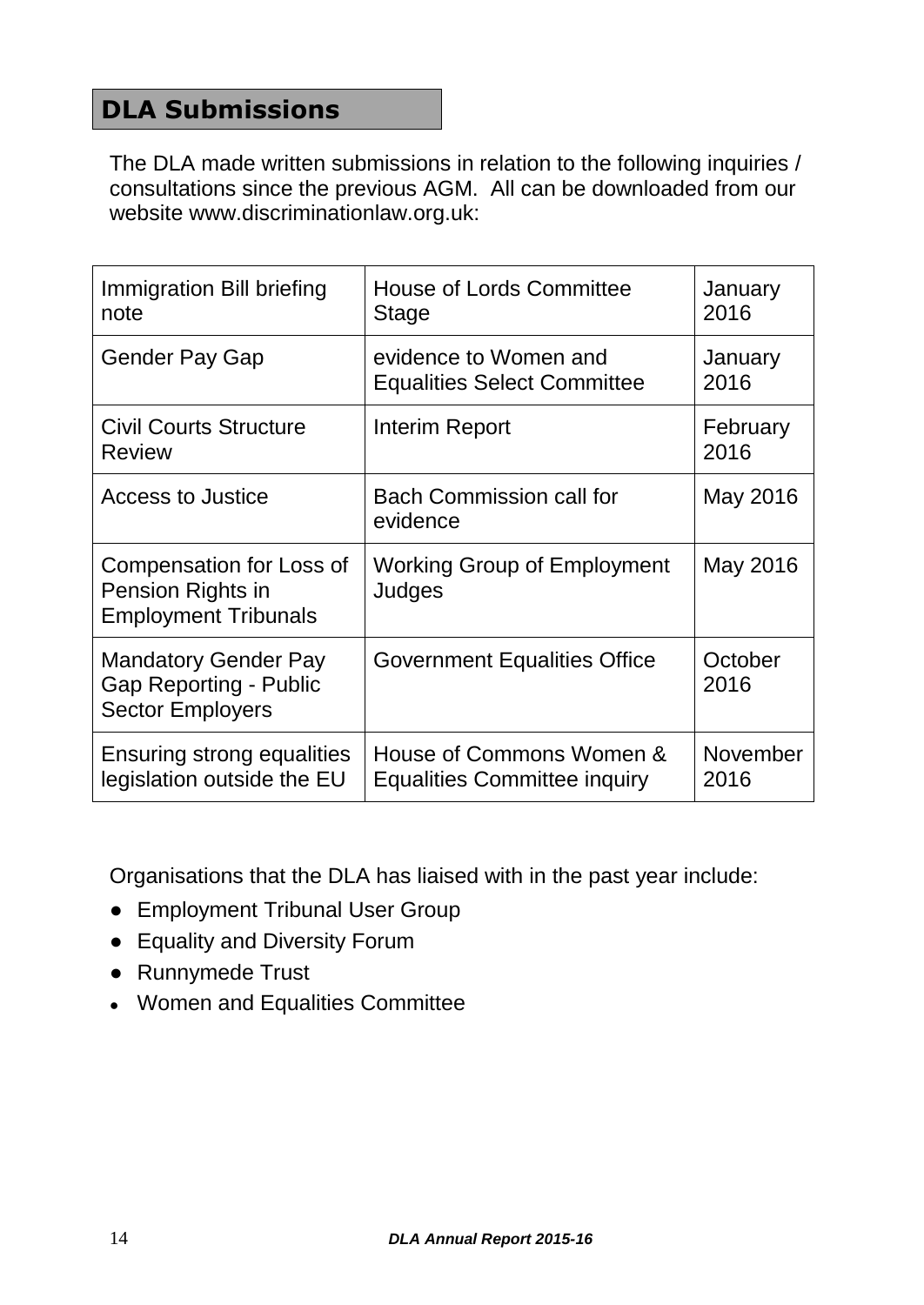### **DLA Submissions**

The DLA made written submissions in relation to the following inquiries / consultations since the previous AGM. All can be downloaded from our website www.discriminationlaw.org.uk:

| Immigration Bill briefing<br>note                                                       | <b>House of Lords Committee</b><br><b>Stage</b>                 | January<br>2016  |
|-----------------------------------------------------------------------------------------|-----------------------------------------------------------------|------------------|
| <b>Gender Pay Gap</b>                                                                   | evidence to Women and<br><b>Equalities Select Committee</b>     | January<br>2016  |
| <b>Civil Courts Structure</b><br>Review                                                 | Interim Report                                                  | February<br>2016 |
| <b>Access to Justice</b>                                                                | <b>Bach Commission call for</b><br>evidence                     | May 2016         |
| Compensation for Loss of<br>Pension Rights in<br><b>Employment Tribunals</b>            | <b>Working Group of Employment</b><br>Judges                    | May 2016         |
| <b>Mandatory Gender Pay</b><br><b>Gap Reporting - Public</b><br><b>Sector Employers</b> | <b>Government Equalities Office</b>                             | October<br>2016  |
| <b>Ensuring strong equalities</b><br>legislation outside the EU                         | House of Commons Women &<br><b>Equalities Committee inquiry</b> | November<br>2016 |

Organisations that the DLA has liaised with in the past year include:

- Employment Tribunal User Group
- Equality and Diversity Forum
- Runnymede Trust
- Women and Equalities Committee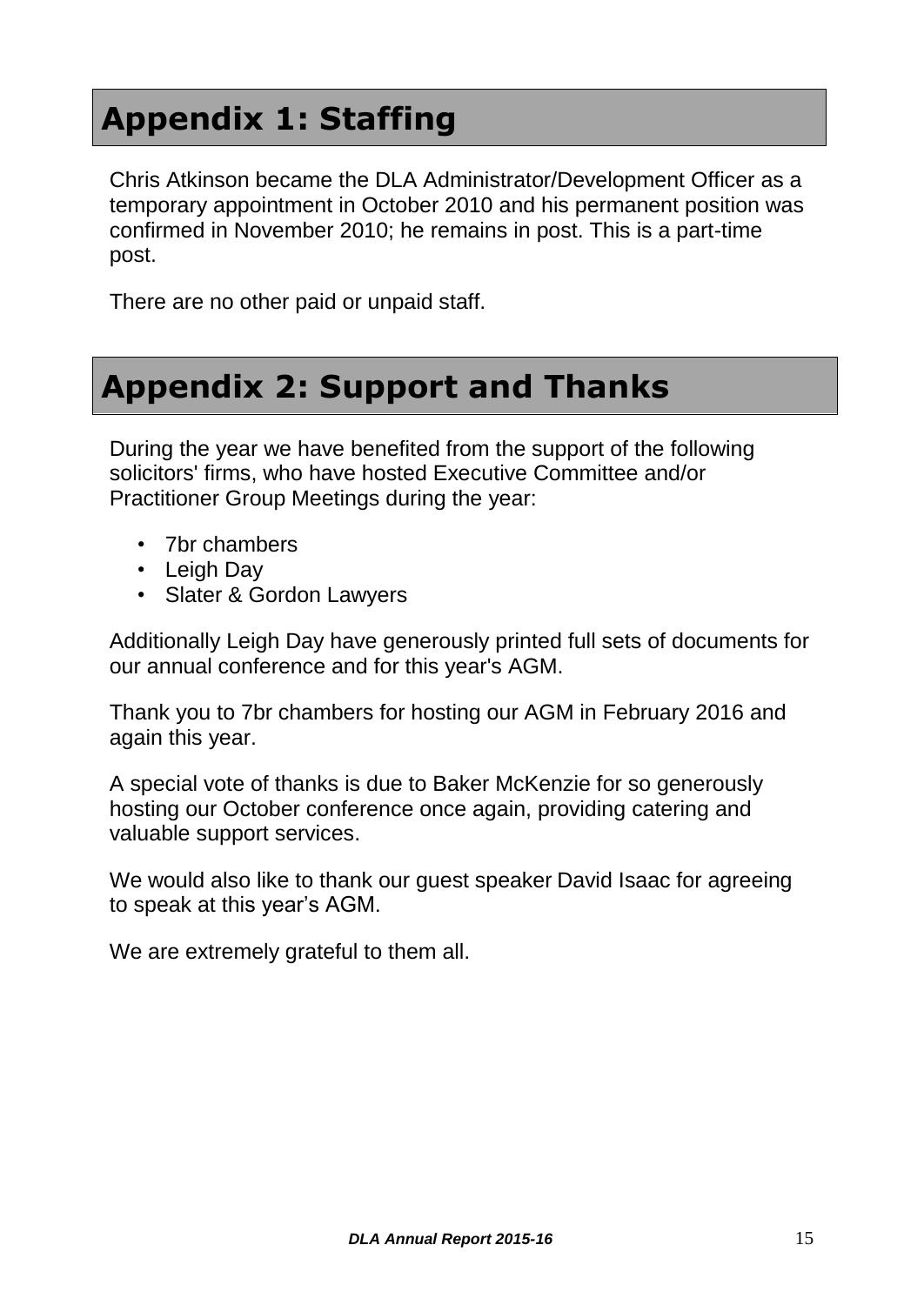# **Appendix 1: Staffing**

Chris Atkinson became the DLA Administrator/Development Officer as a temporary appointment in October 2010 and his permanent position was confirmed in November 2010; he remains in post. This is a part-time post.

There are no other paid or unpaid staff.

### **Appendix 2: Support and Thanks**

During the year we have benefited from the support of the following solicitors' firms, who have hosted Executive Committee and/or Practitioner Group Meetings during the year:

- 7br chambers
- Leigh Day
- Slater & Gordon Lawyers

Additionally Leigh Day have generously printed full sets of documents for our annual conference and for this year's AGM.

Thank you to 7br chambers for hosting our AGM in February 2016 and again this year.

A special vote of thanks is due to Baker McKenzie for so generously hosting our October conference once again, providing catering and valuable support services.

We would also like to thank our guest speaker David Isaac for agreeing to speak at this year's AGM.

We are extremely grateful to them all.